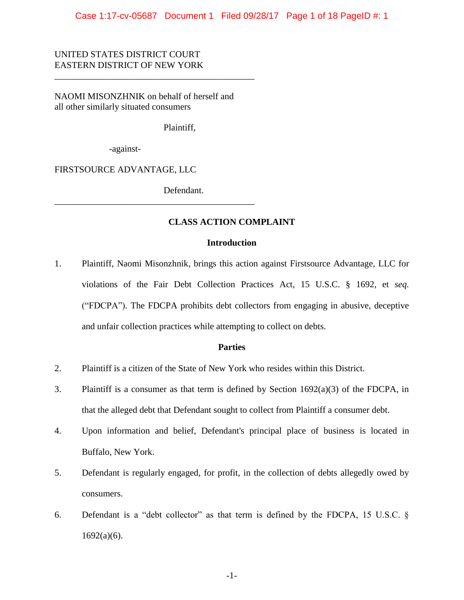### UNITED STATES DISTRICT COURT EASTERN DISTRICT OF NEW YORK

NAOMI MISONZHNIK on behalf of herself and all other similarly situated consumers

\_\_\_\_\_\_\_\_\_\_\_\_\_\_\_\_\_\_\_\_\_\_\_\_\_\_\_\_\_\_\_\_\_\_\_\_\_\_\_\_\_\_\_\_

\_\_\_\_\_\_\_\_\_\_\_\_\_\_\_\_\_\_\_\_\_\_\_\_\_\_\_\_\_\_\_\_\_\_\_\_\_\_\_\_\_\_\_\_

Plaintiff,

-against-

FIRSTSOURCE ADVANTAGE, LLC

Defendant.

#### **CLASS ACTION COMPLAINT**

#### **Introduction**

1. Plaintiff, Naomi Misonzhnik, brings this action against Firstsource Advantage, LLC for violations of the Fair Debt Collection Practices Act, 15 U.S.C. § 1692, et *seq.* ("FDCPA"). The FDCPA prohibits debt collectors from engaging in abusive, deceptive and unfair collection practices while attempting to collect on debts.

#### **Parties**

- 2. Plaintiff is a citizen of the State of New York who resides within this District.
- 3. Plaintiff is a consumer as that term is defined by Section  $1692(a)(3)$  of the FDCPA, in that the alleged debt that Defendant sought to collect from Plaintiff a consumer debt.
- 4. Upon information and belief, Defendant's principal place of business is located in Buffalo, New York.
- 5. Defendant is regularly engaged, for profit, in the collection of debts allegedly owed by consumers.
- 6. Defendant is a "debt collector" as that term is defined by the FDCPA, 15 U.S.C. §  $1692(a)(6)$ .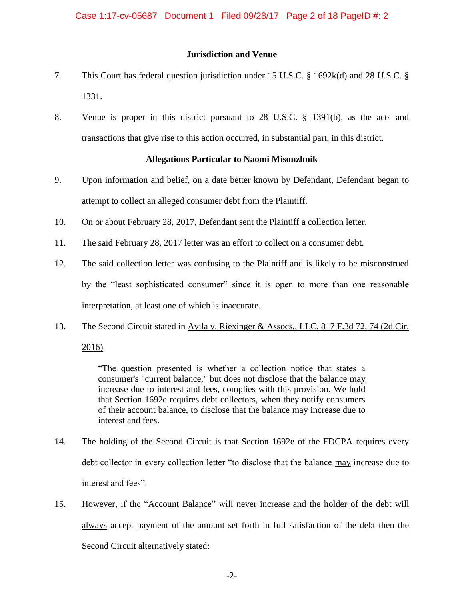#### **Jurisdiction and Venue**

- 7. This Court has federal question jurisdiction under 15 U.S.C. § 1692k(d) and 28 U.S.C. § 1331.
- 8. Venue is proper in this district pursuant to 28 U.S.C. § 1391(b), as the acts and transactions that give rise to this action occurred, in substantial part, in this district.

#### **Allegations Particular to Naomi Misonzhnik**

- 9. Upon information and belief, on a date better known by Defendant, Defendant began to attempt to collect an alleged consumer debt from the Plaintiff.
- 10. On or about February 28, 2017, Defendant sent the Plaintiff a collection letter.
- 11. The said February 28, 2017 letter was an effort to collect on a consumer debt.
- 12. The said collection letter was confusing to the Plaintiff and is likely to be misconstrued by the "least sophisticated consumer" since it is open to more than one reasonable interpretation, at least one of which is inaccurate.
- 13. The Second Circuit stated in Avila v. Riexinger & Assocs., LLC, 817 F.3d 72, 74 (2d Cir.

2016)

"The question presented is whether a collection notice that states a consumer's "current balance," but does not disclose that the balance may increase due to interest and fees, complies with this provision. We hold that Section 1692e requires debt collectors, when they notify consumers of their account balance, to disclose that the balance may increase due to interest and fees.

- 14. The holding of the Second Circuit is that Section 1692e of the FDCPA requires every debt collector in every collection letter "to disclose that the balance may increase due to interest and fees".
- 15. However, if the "Account Balance" will never increase and the holder of the debt will always accept payment of the amount set forth in full satisfaction of the debt then the Second Circuit alternatively stated: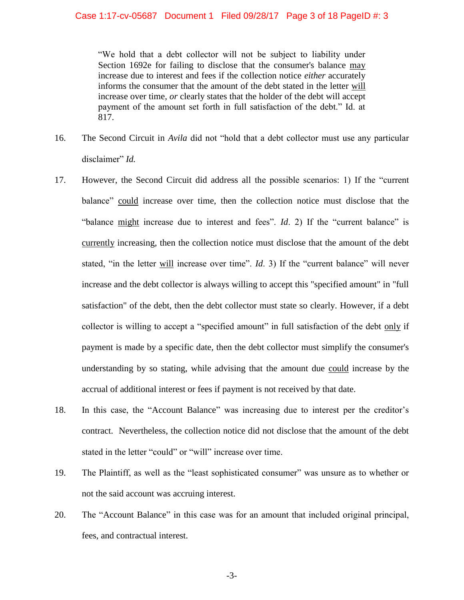"We hold that a debt collector will not be subject to liability under Section 1692e for failing to disclose that the consumer's balance may increase due to interest and fees if the collection notice *either* accurately informs the consumer that the amount of the debt stated in the letter will increase over time, *or* clearly states that the holder of the debt will accept payment of the amount set forth in full satisfaction of the debt." Id. at 817.

- 16. The Second Circuit in *Avila* did not "hold that a debt collector must use any particular disclaimer" *Id.*
- 17. However, the Second Circuit did address all the possible scenarios: 1) If the "current balance" could increase over time, then the collection notice must disclose that the "balance might increase due to interest and fees". *Id.* 2) If the "current balance" is currently increasing, then the collection notice must disclose that the amount of the debt stated, "in the letter will increase over time". *Id*. 3) If the "current balance" will never increase and the debt collector is always willing to accept this "specified amount" in "full satisfaction" of the debt, then the debt collector must state so clearly. However, if a debt collector is willing to accept a "specified amount" in full satisfaction of the debt only if payment is made by a specific date, then the debt collector must simplify the consumer's understanding by so stating, while advising that the amount due could increase by the accrual of additional interest or fees if payment is not received by that date.
- 18. In this case, the "Account Balance" was increasing due to interest per the creditor's contract. Nevertheless, the collection notice did not disclose that the amount of the debt stated in the letter "could" or "will" increase over time.
- 19. The Plaintiff, as well as the "least sophisticated consumer" was unsure as to whether or not the said account was accruing interest.
- 20. The "Account Balance" in this case was for an amount that included original principal, fees, and contractual interest.

-3-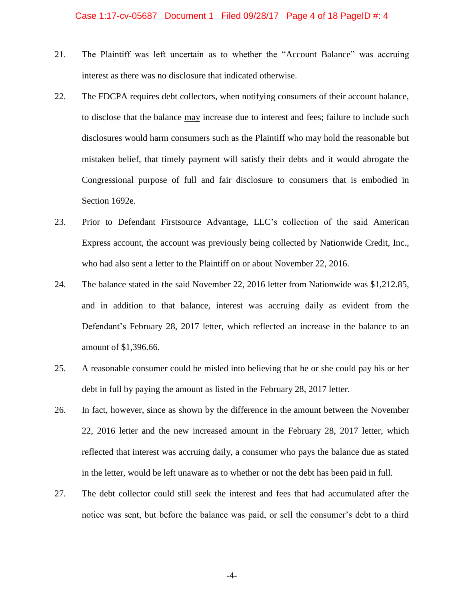- 21. The Plaintiff was left uncertain as to whether the "Account Balance" was accruing interest as there was no disclosure that indicated otherwise.
- 22. The FDCPA requires debt collectors, when notifying consumers of their account balance, to disclose that the balance may increase due to interest and fees; failure to include such disclosures would harm consumers such as the Plaintiff who may hold the reasonable but mistaken belief, that timely payment will satisfy their debts and it would abrogate the Congressional purpose of full and fair disclosure to consumers that is embodied in Section 1692e.
- 23. Prior to Defendant Firstsource Advantage, LLC's collection of the said American Express account, the account was previously being collected by Nationwide Credit, Inc., who had also sent a letter to the Plaintiff on or about November 22, 2016.
- 24. The balance stated in the said November 22, 2016 letter from Nationwide was \$1,212.85, and in addition to that balance, interest was accruing daily as evident from the Defendant's February 28, 2017 letter, which reflected an increase in the balance to an amount of \$1,396.66.
- 25. A reasonable consumer could be misled into believing that he or she could pay his or her debt in full by paying the amount as listed in the February 28, 2017 letter.
- 26. In fact, however, since as shown by the difference in the amount between the November 22, 2016 letter and the new increased amount in the February 28, 2017 letter, which reflected that interest was accruing daily, a consumer who pays the balance due as stated in the letter, would be left unaware as to whether or not the debt has been paid in full.
- 27. The debt collector could still seek the interest and fees that had accumulated after the notice was sent, but before the balance was paid, or sell the consumer's debt to a third

-4-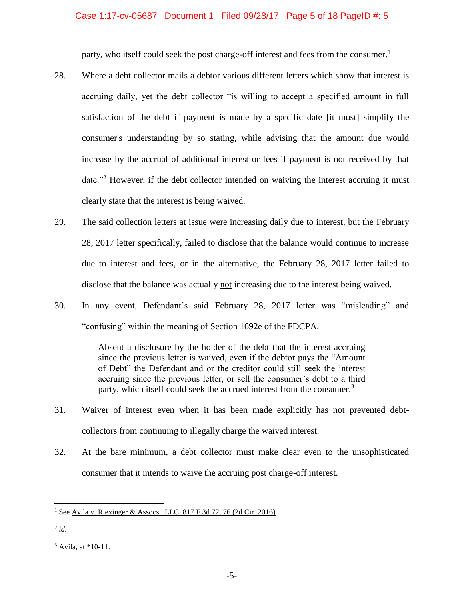#### Case 1:17-cv-05687 Document 1 Filed 09/28/17 Page 5 of 18 PageID #: 5

party, who itself could seek the post charge-off interest and fees from the consumer.<sup>1</sup>

- 28. Where a debt collector mails a debtor various different letters which show that interest is accruing daily, yet the debt collector "is willing to accept a specified amount in full satisfaction of the debt if payment is made by a specific date [it must] simplify the consumer's understanding by so stating, while advising that the amount due would increase by the accrual of additional interest or fees if payment is not received by that date."<sup>2</sup> However, if the debt collector intended on waiving the interest accruing it must clearly state that the interest is being waived.
- 29. The said collection letters at issue were increasing daily due to interest, but the February 28, 2017 letter specifically, failed to disclose that the balance would continue to increase due to interest and fees, or in the alternative, the February 28, 2017 letter failed to disclose that the balance was actually not increasing due to the interest being waived.
- 30. In any event, Defendant's said February 28, 2017 letter was "misleading" and "confusing" within the meaning of Section 1692e of the FDCPA.

Absent a disclosure by the holder of the debt that the interest accruing since the previous letter is waived, even if the debtor pays the "Amount of Debt" the Defendant and or the creditor could still seek the interest accruing since the previous letter, or sell the consumer's debt to a third party, which itself could seek the accrued interest from the consumer.<sup>3</sup>

- 31. Waiver of interest even when it has been made explicitly has not prevented debtcollectors from continuing to illegally charge the waived interest.
- 32. At the bare minimum, a debt collector must make clear even to the unsophisticated consumer that it intends to waive the accruing post charge-off interest.

2 *id*.

<sup>&</sup>lt;sup>1</sup> See Avila v. Riexinger & Assocs., LLC, 817 F.3d 72, 76 (2d Cir. 2016)

<sup>3</sup> Avila, at \*10-11.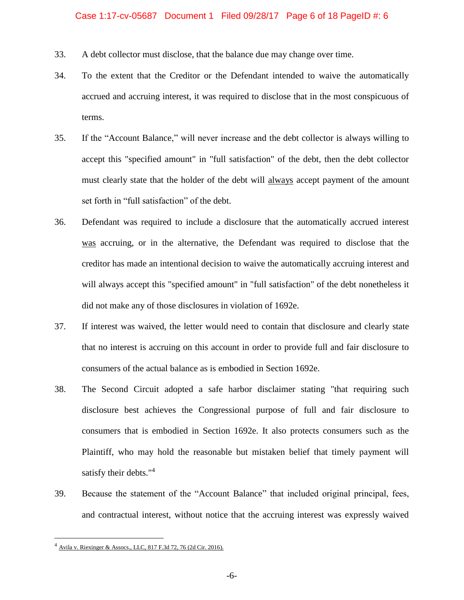- 33. A debt collector must disclose, that the balance due may change over time.
- 34. To the extent that the Creditor or the Defendant intended to waive the automatically accrued and accruing interest, it was required to disclose that in the most conspicuous of terms.
- 35. If the "Account Balance," will never increase and the debt collector is always willing to accept this "specified amount" in "full satisfaction" of the debt, then the debt collector must clearly state that the holder of the debt will always accept payment of the amount set forth in "full satisfaction" of the debt.
- 36. Defendant was required to include a disclosure that the automatically accrued interest was accruing, or in the alternative, the Defendant was required to disclose that the creditor has made an intentional decision to waive the automatically accruing interest and will always accept this "specified amount" in "full satisfaction" of the debt nonetheless it did not make any of those disclosures in violation of 1692e.
- 37. If interest was waived, the letter would need to contain that disclosure and clearly state that no interest is accruing on this account in order to provide full and fair disclosure to consumers of the actual balance as is embodied in Section 1692e.
- 38. The Second Circuit adopted a safe harbor disclaimer stating "that requiring such disclosure best achieves the Congressional purpose of full and fair disclosure to consumers that is embodied in Section 1692e. It also protects consumers such as the Plaintiff, who may hold the reasonable but mistaken belief that timely payment will satisfy their debts."<sup>4</sup>
- 39. Because the statement of the "Account Balance" that included original principal, fees, and contractual interest, without notice that the accruing interest was expressly waived

<sup>4</sup> Avila v. Riexinger & Assocs., LLC, 817 F.3d 72, 76 (2d Cir. 2016).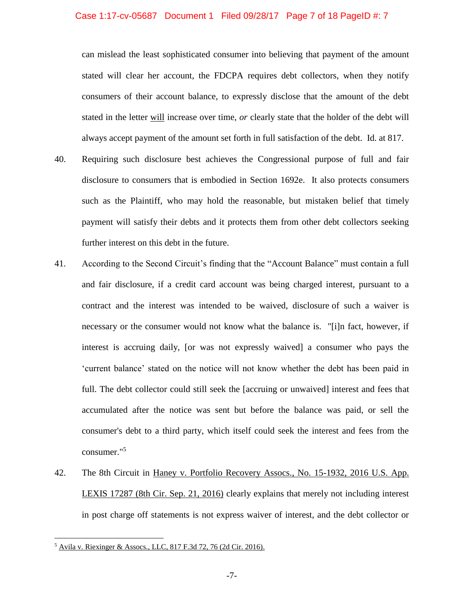#### Case 1:17-cv-05687 Document 1 Filed 09/28/17 Page 7 of 18 PageID #: 7

can mislead the least sophisticated consumer into believing that payment of the amount stated will clear her account, the FDCPA requires debt collectors, when they notify consumers of their account balance, to expressly disclose that the amount of the debt stated in the letter will increase over time, *or* clearly state that the holder of the debt will always accept payment of the amount set forth in full satisfaction of the debt. Id. at 817.

- 40. Requiring such disclosure best achieves the Congressional purpose of full and fair disclosure to consumers that is embodied in Section 1692e. It also protects consumers such as the Plaintiff, who may hold the reasonable, but mistaken belief that timely payment will satisfy their debts and it protects them from other debt collectors seeking further interest on this debt in the future.
- 41. According to the Second Circuit's finding that the "Account Balance" must contain a full and fair disclosure, if a credit card account was being charged interest, pursuant to a contract and the interest was intended to be waived, disclosure of such a waiver is necessary or the consumer would not know what the balance is. "[i]n fact, however, if interest is accruing daily, [or was not expressly waived] a consumer who pays the 'current balance' stated on the notice will not know whether the debt has been paid in full. The debt collector could still seek the [accruing or unwaived] interest and fees that accumulated after the notice was sent but before the balance was paid, or sell the consumer's debt to a third party, which itself could seek the interest and fees from the consumer."<sup>5</sup>
- 42. The 8th Circuit in Haney v. Portfolio Recovery Assocs., No. 15-1932, 2016 U.S. App. LEXIS 17287 (8th Cir. Sep. 21, 2016) clearly explains that merely not including interest in post charge off statements is not express waiver of interest, and the debt collector or

<sup>5</sup> Avila v. Riexinger & Assocs., LLC, 817 F.3d 72, 76 (2d Cir. 2016).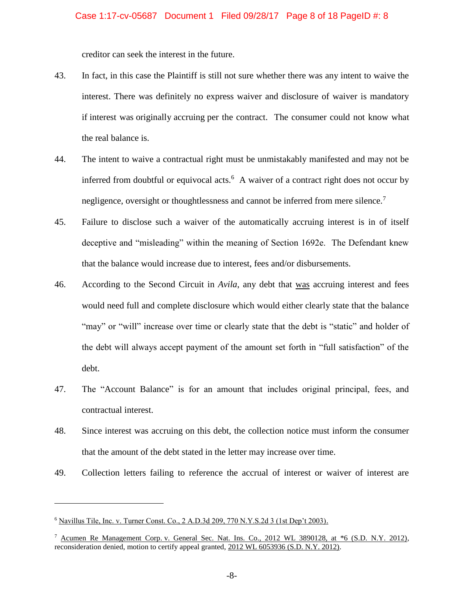creditor can seek the interest in the future.

- 43. In fact, in this case the Plaintiff is still not sure whether there was any intent to waive the interest. There was definitely no express waiver and disclosure of waiver is mandatory if interest was originally accruing per the contract. The consumer could not know what the real balance is.
- 44. The intent to waive a contractual right must be unmistakably manifested and may not be inferred from doubtful or equivocal acts. $6$  A waiver of a contract right does not occur by negligence, oversight or thoughtlessness and cannot be inferred from mere silence.<sup>7</sup>
- 45. Failure to disclose such a waiver of the automatically accruing interest is in of itself deceptive and "misleading" within the meaning of Section 1692e. The Defendant knew that the balance would increase due to interest, fees and/or disbursements.
- 46. According to the Second Circuit in *Avila*, any debt that was accruing interest and fees would need full and complete disclosure which would either clearly state that the balance "may" or "will" increase over time or clearly state that the debt is "static" and holder of the debt will always accept payment of the amount set forth in "full satisfaction" of the debt.
- 47. The "Account Balance" is for an amount that includes original principal, fees, and contractual interest.
- 48. Since interest was accruing on this debt, the collection notice must inform the consumer that the amount of the debt stated in the letter may increase over time.
- 49. Collection letters failing to reference the accrual of interest or waiver of interest are

<sup>6</sup> Navillus Tile, Inc. v. Turner Const. Co., 2 A.D.3d 209, 770 N.Y.S.2d 3 (1st Dep't 2003).

<sup>7</sup> Acumen Re Management Corp. v. General Sec. Nat. Ins. Co., 2012 WL 3890128, at \*6 (S.D. N.Y. 2012), reconsideration denied, motion to certify appeal granted, 2012 WL 6053936 (S.D. N.Y. 2012).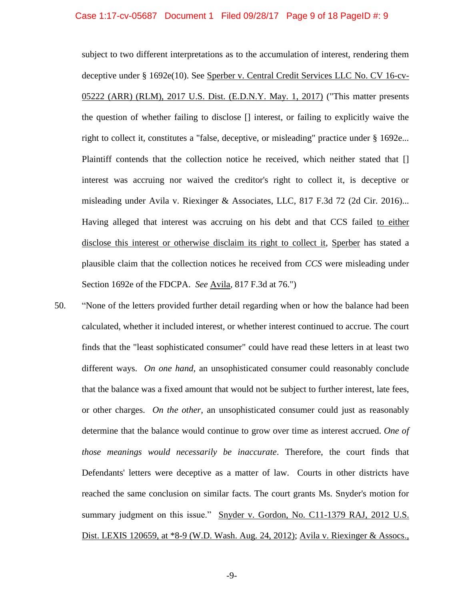#### Case 1:17-cv-05687 Document 1 Filed 09/28/17 Page 9 of 18 PageID #: 9

subject to two different interpretations as to the accumulation of interest, rendering them deceptive under § 1692e(10). See Sperber v. Central Credit Services LLC No. CV 16-cv-05222 (ARR) (RLM), 2017 U.S. Dist. (E.D.N.Y. May. 1, 2017) ("This matter presents the question of whether failing to disclose [] interest, or failing to explicitly waive the right to collect it, constitutes a "false, deceptive, or misleading" practice under § 1692e... Plaintiff contends that the collection notice he received, which neither stated that [] interest was accruing nor waived the creditor's right to collect it, is deceptive or misleading under Avila v. Riexinger & Associates, LLC, 817 F.3d 72 (2d Cir. 2016)... Having alleged that interest was accruing on his debt and that CCS failed to either disclose this interest or otherwise disclaim its right to collect it, Sperber has stated a plausible claim that the collection notices he received from *CCS* were misleading under Section 1692e of the FDCPA. *See* Avila*,* 817 F.3d at 76.")

50. "None of the letters provided further detail regarding when or how the balance had been calculated, whether it included interest, or whether interest continued to accrue. The court finds that the "least sophisticated consumer" could have read these letters in at least two different ways. *On one hand*, an unsophisticated consumer could reasonably conclude that the balance was a fixed amount that would not be subject to further interest, late fees, or other charges. *On the other*, an unsophisticated consumer could just as reasonably determine that the balance would continue to grow over time as interest accrued. *One of those meanings would necessarily be inaccurate*. Therefore, the court finds that Defendants' letters were deceptive as a matter of law. Courts in other districts have reached the same conclusion on similar facts. The court grants Ms. Snyder's motion for summary judgment on this issue." Snyder v. Gordon, No. C11-1379 RAJ, 2012 U.S. Dist. LEXIS 120659, at \*8-9 (W.D. Wash. Aug. 24, 2012); Avila v. Riexinger & Assocs.,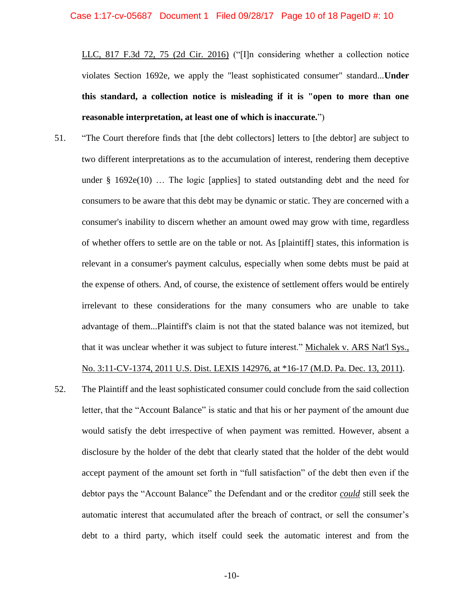LLC, 817 F.3d 72, 75 (2d Cir. 2016) ("[I]n considering whether a collection notice violates Section 1692e, we apply the "least sophisticated consumer" standard...**Under this standard, a collection notice is misleading if it is "open to more than one reasonable interpretation, at least one of which is inaccurate.**")

- 51. "The Court therefore finds that [the debt collectors] letters to [the debtor] are subject to two different interpretations as to the accumulation of interest, rendering them deceptive under  $\S$  1692e(10) ... The logic [applies] to stated outstanding debt and the need for consumers to be aware that this debt may be dynamic or static. They are concerned with a consumer's inability to discern whether an amount owed may grow with time, regardless of whether offers to settle are on the table or not. As [plaintiff] states, this information is relevant in a consumer's payment calculus, especially when some debts must be paid at the expense of others. And, of course, the existence of settlement offers would be entirely irrelevant to these considerations for the many consumers who are unable to take advantage of them...Plaintiff's claim is not that the stated balance was not itemized, but that it was unclear whether it was subject to future interest." Michalek v. ARS Nat'l Sys., No. 3:11-CV-1374, 2011 U.S. Dist. LEXIS 142976, at \*16-17 (M.D. Pa. Dec. 13, 2011).
- 52. The Plaintiff and the least sophisticated consumer could conclude from the said collection letter, that the "Account Balance" is static and that his or her payment of the amount due would satisfy the debt irrespective of when payment was remitted. However, absent a disclosure by the holder of the debt that clearly stated that the holder of the debt would accept payment of the amount set forth in "full satisfaction" of the debt then even if the debtor pays the "Account Balance" the Defendant and or the creditor *could* still seek the automatic interest that accumulated after the breach of contract, or sell the consumer's debt to a third party, which itself could seek the automatic interest and from the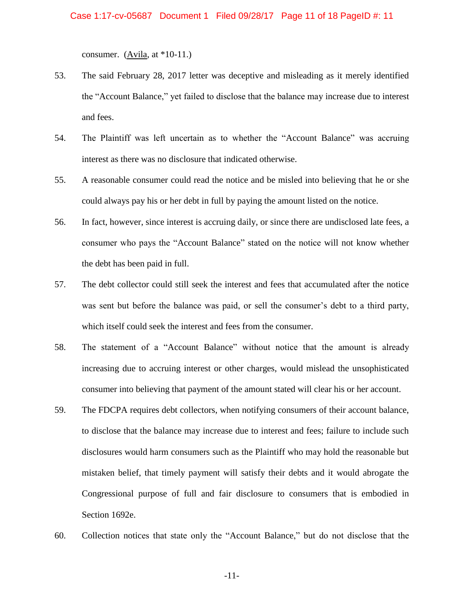consumer. (Avila, at  $*10-11$ .)

- 53. The said February 28, 2017 letter was deceptive and misleading as it merely identified the "Account Balance," yet failed to disclose that the balance may increase due to interest and fees.
- 54. The Plaintiff was left uncertain as to whether the "Account Balance" was accruing interest as there was no disclosure that indicated otherwise.
- 55. A reasonable consumer could read the notice and be misled into believing that he or she could always pay his or her debt in full by paying the amount listed on the notice.
- 56. In fact, however, since interest is accruing daily, or since there are undisclosed late fees, a consumer who pays the "Account Balance" stated on the notice will not know whether the debt has been paid in full.
- 57. The debt collector could still seek the interest and fees that accumulated after the notice was sent but before the balance was paid, or sell the consumer's debt to a third party, which itself could seek the interest and fees from the consumer.
- 58. The statement of a "Account Balance" without notice that the amount is already increasing due to accruing interest or other charges, would mislead the unsophisticated consumer into believing that payment of the amount stated will clear his or her account.
- 59. The FDCPA requires debt collectors, when notifying consumers of their account balance, to disclose that the balance may increase due to interest and fees; failure to include such disclosures would harm consumers such as the Plaintiff who may hold the reasonable but mistaken belief, that timely payment will satisfy their debts and it would abrogate the Congressional purpose of full and fair disclosure to consumers that is embodied in Section 1692e.
- 60. Collection notices that state only the "Account Balance," but do not disclose that the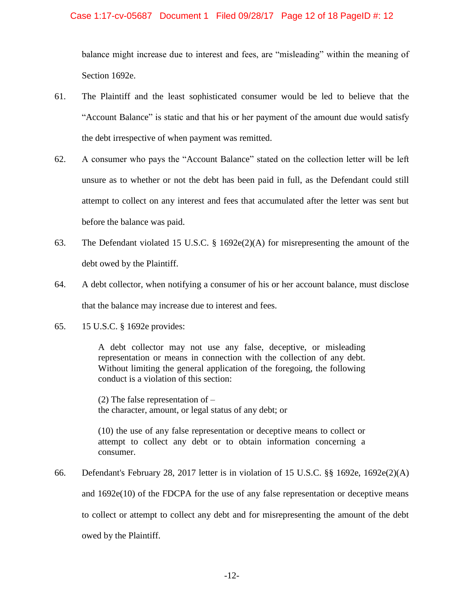#### Case 1:17-cv-05687 Document 1 Filed 09/28/17 Page 12 of 18 PageID #: 12

balance might increase due to interest and fees, are "misleading" within the meaning of Section 1692e.

- 61. The Plaintiff and the least sophisticated consumer would be led to believe that the "Account Balance" is static and that his or her payment of the amount due would satisfy the debt irrespective of when payment was remitted.
- 62. A consumer who pays the "Account Balance" stated on the collection letter will be left unsure as to whether or not the debt has been paid in full, as the Defendant could still attempt to collect on any interest and fees that accumulated after the letter was sent but before the balance was paid.
- 63. The Defendant violated 15 U.S.C. § 1692e(2)(A) for misrepresenting the amount of the debt owed by the Plaintiff.
- 64. A debt collector, when notifying a consumer of his or her account balance, must disclose that the balance may increase due to interest and fees.
- 65. 15 U.S.C. § 1692e provides:

A debt collector may not use any false, deceptive, or misleading representation or means in connection with the collection of any debt. Without limiting the general application of the foregoing, the following conduct is a violation of this section:

(2) The false representation of – the character, amount, or legal status of any debt; or

(10) the use of any false representation or deceptive means to collect or attempt to collect any debt or to obtain information concerning a consumer.

66. Defendant's February 28, 2017 letter is in violation of 15 U.S.C. §§ 1692e, 1692e(2)(A) and 1692e(10) of the FDCPA for the use of any false representation or deceptive means to collect or attempt to collect any debt and for misrepresenting the amount of the debt owed by the Plaintiff.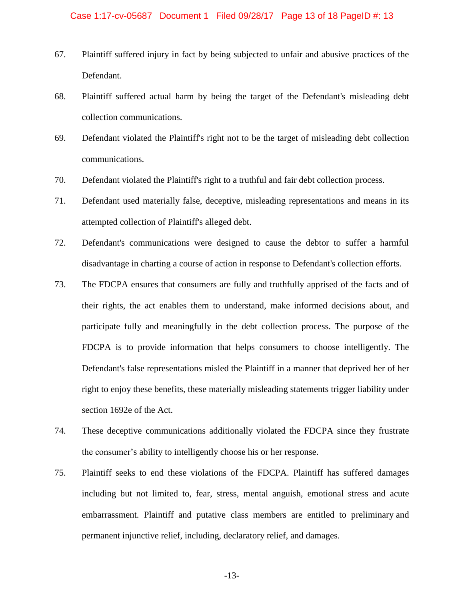- 67. Plaintiff suffered injury in fact by being subjected to unfair and abusive practices of the Defendant.
- 68. Plaintiff suffered actual harm by being the target of the Defendant's misleading debt collection communications.
- 69. Defendant violated the Plaintiff's right not to be the target of misleading debt collection communications.
- 70. Defendant violated the Plaintiff's right to a truthful and fair debt collection process.
- 71. Defendant used materially false, deceptive, misleading representations and means in its attempted collection of Plaintiff's alleged debt.
- 72. Defendant's communications were designed to cause the debtor to suffer a harmful disadvantage in charting a course of action in response to Defendant's collection efforts.
- 73. The FDCPA ensures that consumers are fully and truthfully apprised of the facts and of their rights, the act enables them to understand, make informed decisions about, and participate fully and meaningfully in the debt collection process. The purpose of the FDCPA is to provide information that helps consumers to choose intelligently. The Defendant's false representations misled the Plaintiff in a manner that deprived her of her right to enjoy these benefits, these materially misleading statements trigger liability under section 1692e of the Act.
- 74. These deceptive communications additionally violated the FDCPA since they frustrate the consumer's ability to intelligently choose his or her response.
- 75. Plaintiff seeks to end these violations of the FDCPA. Plaintiff has suffered damages including but not limited to, fear, stress, mental anguish, emotional stress and acute embarrassment. Plaintiff and putative class members are entitled to preliminary and permanent injunctive relief, including, declaratory relief, and damages.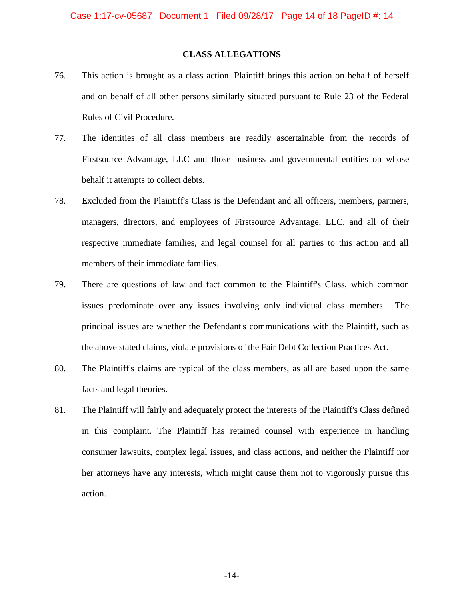#### **CLASS ALLEGATIONS**

- 76. This action is brought as a class action. Plaintiff brings this action on behalf of herself and on behalf of all other persons similarly situated pursuant to Rule 23 of the Federal Rules of Civil Procedure.
- 77. The identities of all class members are readily ascertainable from the records of Firstsource Advantage, LLC and those business and governmental entities on whose behalf it attempts to collect debts.
- 78. Excluded from the Plaintiff's Class is the Defendant and all officers, members, partners, managers, directors, and employees of Firstsource Advantage, LLC, and all of their respective immediate families, and legal counsel for all parties to this action and all members of their immediate families.
- 79. There are questions of law and fact common to the Plaintiff's Class, which common issues predominate over any issues involving only individual class members. The principal issues are whether the Defendant's communications with the Plaintiff, such as the above stated claims, violate provisions of the Fair Debt Collection Practices Act.
- 80. The Plaintiff's claims are typical of the class members, as all are based upon the same facts and legal theories.
- 81. The Plaintiff will fairly and adequately protect the interests of the Plaintiff's Class defined in this complaint. The Plaintiff has retained counsel with experience in handling consumer lawsuits, complex legal issues, and class actions, and neither the Plaintiff nor her attorneys have any interests, which might cause them not to vigorously pursue this action.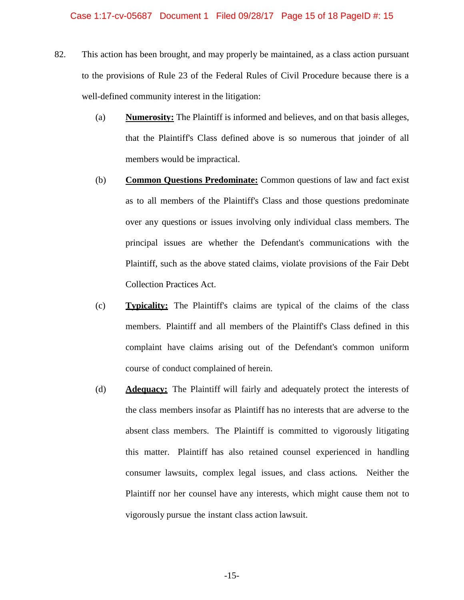- 82. This action has been brought, and may properly be maintained, as a class action pursuant to the provisions of Rule 23 of the Federal Rules of Civil Procedure because there is a well-defined community interest in the litigation:
	- (a) **Numerosity:** The Plaintiff is informed and believes, and on that basis alleges, that the Plaintiff's Class defined above is so numerous that joinder of all members would be impractical.
	- (b) **Common Questions Predominate:** Common questions of law and fact exist as to all members of the Plaintiff's Class and those questions predominate over any questions or issues involving only individual class members. The principal issues are whether the Defendant's communications with the Plaintiff, such as the above stated claims, violate provisions of the Fair Debt Collection Practices Act.
	- (c) **Typicality:** The Plaintiff's claims are typical of the claims of the class members. Plaintiff and all members of the Plaintiff's Class defined in this complaint have claims arising out of the Defendant's common uniform course of conduct complained of herein.
	- (d) **Adequacy:** The Plaintiff will fairly and adequately protect the interests of the class members insofar as Plaintiff has no interests that are adverse to the absent class members. The Plaintiff is committed to vigorously litigating this matter. Plaintiff has also retained counsel experienced in handling consumer lawsuits, complex legal issues, and class actions. Neither the Plaintiff nor her counsel have any interests, which might cause them not to vigorously pursue the instant class action lawsuit.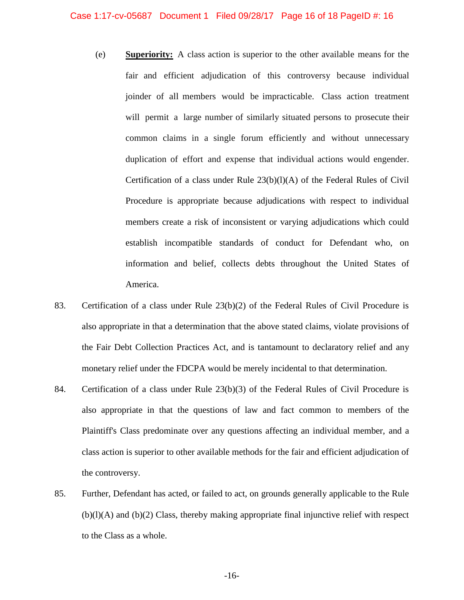- (e) **Superiority:** A class action is superior to the other available means for the fair and efficient adjudication of this controversy because individual joinder of all members would be impracticable. Class action treatment will permit a large number of similarly situated persons to prosecute their common claims in a single forum efficiently and without unnecessary duplication of effort and expense that individual actions would engender. Certification of a class under Rule 23(b)(l)(A) of the Federal Rules of Civil Procedure is appropriate because adjudications with respect to individual members create a risk of inconsistent or varying adjudications which could establish incompatible standards of conduct for Defendant who, on information and belief, collects debts throughout the United States of America.
- 83. Certification of a class under Rule 23(b)(2) of the Federal Rules of Civil Procedure is also appropriate in that a determination that the above stated claims, violate provisions of the Fair Debt Collection Practices Act, and is tantamount to declaratory relief and any monetary relief under the FDCPA would be merely incidental to that determination.
- 84. Certification of a class under Rule 23(b)(3) of the Federal Rules of Civil Procedure is also appropriate in that the questions of law and fact common to members of the Plaintiff's Class predominate over any questions affecting an individual member, and a class action is superior to other available methods for the fair and efficient adjudication of the controversy.
- 85. Further, Defendant has acted, or failed to act, on grounds generally applicable to the Rule (b)(l)(A) and (b)(2) Class, thereby making appropriate final injunctive relief with respect to the Class as a whole.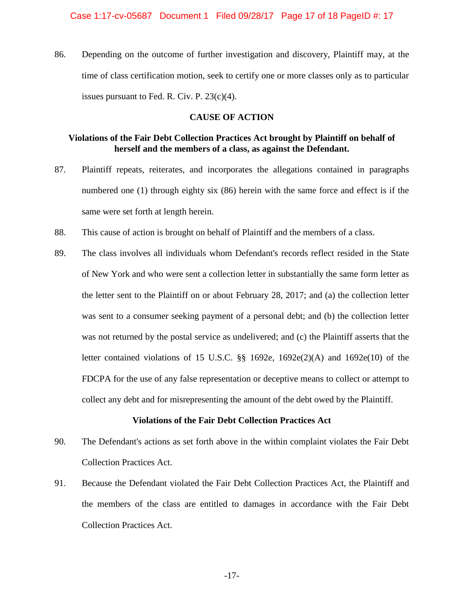86. Depending on the outcome of further investigation and discovery, Plaintiff may, at the time of class certification motion, seek to certify one or more classes only as to particular issues pursuant to Fed. R. Civ. P. 23(c)(4).

#### **CAUSE OF ACTION**

#### **Violations of the Fair Debt Collection Practices Act brought by Plaintiff on behalf of herself and the members of a class, as against the Defendant.**

- 87. Plaintiff repeats, reiterates, and incorporates the allegations contained in paragraphs numbered one (1) through eighty six (86) herein with the same force and effect is if the same were set forth at length herein.
- 88. This cause of action is brought on behalf of Plaintiff and the members of a class.
- 89. The class involves all individuals whom Defendant's records reflect resided in the State of New York and who were sent a collection letter in substantially the same form letter as the letter sent to the Plaintiff on or about February 28, 2017; and (a) the collection letter was sent to a consumer seeking payment of a personal debt; and (b) the collection letter was not returned by the postal service as undelivered; and (c) the Plaintiff asserts that the letter contained violations of 15 U.S.C.  $\S$  1692e, 1692e(2)(A) and 1692e(10) of the FDCPA for the use of any false representation or deceptive means to collect or attempt to collect any debt and for misrepresenting the amount of the debt owed by the Plaintiff.

#### **Violations of the Fair Debt Collection Practices Act**

- 90. The Defendant's actions as set forth above in the within complaint violates the Fair Debt Collection Practices Act.
- 91. Because the Defendant violated the Fair Debt Collection Practices Act, the Plaintiff and the members of the class are entitled to damages in accordance with the Fair Debt Collection Practices Act.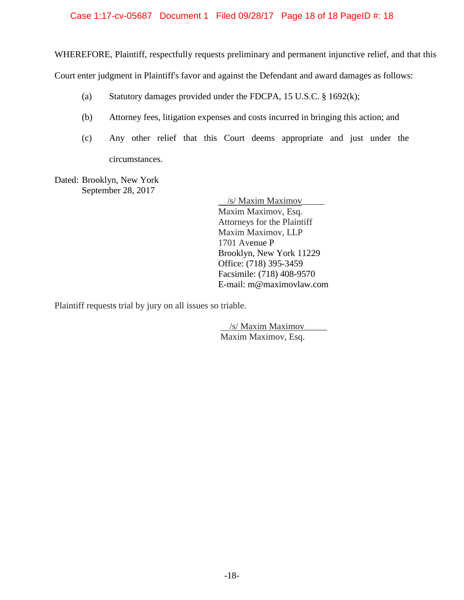#### Case 1:17-cv-05687 Document 1 Filed 09/28/17 Page 18 of 18 PageID #: 18

WHEREFORE, Plaintiff, respectfully requests preliminary and permanent injunctive relief, and that this

Court enter judgment in Plaintiff's favor and against the Defendant and award damages as follows:

- (a) Statutory damages provided under the FDCPA, 15 U.S.C. § 1692(k);
- (b) Attorney fees, litigation expenses and costs incurred in bringing this action; and
- (c) Any other relief that this Court deems appropriate and just under the circumstances.

Dated: Brooklyn, New York September 28, 2017

> /s/ Maxim Maximov\_\_\_\_\_ Maxim Maximov, Esq. Attorneys for the Plaintiff Maxim Maximov, LLP 1701 Avenue P Brooklyn, New York 11229 Office: (718) 395-3459 Facsimile: (718) 408-9570 E-mail: m@maximovlaw.com

Plaintiff requests trial by jury on all issues so triable.

 /s/ Maxim Maximov\_\_\_\_\_ Maxim Maximov, Esq.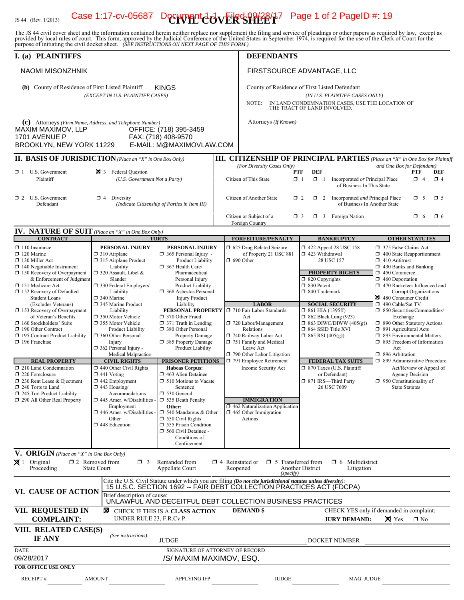## IS 44 (Rev. 1/2013) Case 1:17-cv-05687 Decrypent  $\text{GeVER}$  SHEET Page 1 of 2 PageID #: 19

The JS 44 civil cover sheet and the information contained herein neither replace nor supplement the filing and service of pleadings or other papers as required by law, except as provided by local rules of court. This form,

| I. (a) PLAINTIFFS                                                                                                                                                                                                                                                                                                                                                                                                                                                                                                                                                                                                                                       |                                                                                                                                                                                                                                                                                                                                                                                                                                                                                                                                                                                                                                                                  |                                                                                                                                                                                                                                                                                                                                                                                                                                                                                                                                                                                                                                                                                                              | <b>DEFENDANTS</b>                                                                                                                                                                                                                                                                                                                                                                                                                                       |                                                                                                                                                                                                                                                                                                                                                                                                                                                                                       |                                                                                                                                                                                                                                                                                                                                                                                                                                                                                                                                                                                                                                                              |
|---------------------------------------------------------------------------------------------------------------------------------------------------------------------------------------------------------------------------------------------------------------------------------------------------------------------------------------------------------------------------------------------------------------------------------------------------------------------------------------------------------------------------------------------------------------------------------------------------------------------------------------------------------|------------------------------------------------------------------------------------------------------------------------------------------------------------------------------------------------------------------------------------------------------------------------------------------------------------------------------------------------------------------------------------------------------------------------------------------------------------------------------------------------------------------------------------------------------------------------------------------------------------------------------------------------------------------|--------------------------------------------------------------------------------------------------------------------------------------------------------------------------------------------------------------------------------------------------------------------------------------------------------------------------------------------------------------------------------------------------------------------------------------------------------------------------------------------------------------------------------------------------------------------------------------------------------------------------------------------------------------------------------------------------------------|---------------------------------------------------------------------------------------------------------------------------------------------------------------------------------------------------------------------------------------------------------------------------------------------------------------------------------------------------------------------------------------------------------------------------------------------------------|---------------------------------------------------------------------------------------------------------------------------------------------------------------------------------------------------------------------------------------------------------------------------------------------------------------------------------------------------------------------------------------------------------------------------------------------------------------------------------------|--------------------------------------------------------------------------------------------------------------------------------------------------------------------------------------------------------------------------------------------------------------------------------------------------------------------------------------------------------------------------------------------------------------------------------------------------------------------------------------------------------------------------------------------------------------------------------------------------------------------------------------------------------------|
| <b>NAOMI MISONZHNIK</b>                                                                                                                                                                                                                                                                                                                                                                                                                                                                                                                                                                                                                                 |                                                                                                                                                                                                                                                                                                                                                                                                                                                                                                                                                                                                                                                                  |                                                                                                                                                                                                                                                                                                                                                                                                                                                                                                                                                                                                                                                                                                              | FIRSTSOURCE ADVANTAGE, LLC                                                                                                                                                                                                                                                                                                                                                                                                                              |                                                                                                                                                                                                                                                                                                                                                                                                                                                                                       |                                                                                                                                                                                                                                                                                                                                                                                                                                                                                                                                                                                                                                                              |
| (b) County of Residence of First Listed Plaintiff<br><b>KINGS</b><br>(EXCEPT IN U.S. PLAINTIFF CASES)                                                                                                                                                                                                                                                                                                                                                                                                                                                                                                                                                   |                                                                                                                                                                                                                                                                                                                                                                                                                                                                                                                                                                                                                                                                  |                                                                                                                                                                                                                                                                                                                                                                                                                                                                                                                                                                                                                                                                                                              | County of Residence of First Listed Defendant                                                                                                                                                                                                                                                                                                                                                                                                           |                                                                                                                                                                                                                                                                                                                                                                                                                                                                                       |                                                                                                                                                                                                                                                                                                                                                                                                                                                                                                                                                                                                                                                              |
|                                                                                                                                                                                                                                                                                                                                                                                                                                                                                                                                                                                                                                                         |                                                                                                                                                                                                                                                                                                                                                                                                                                                                                                                                                                                                                                                                  |                                                                                                                                                                                                                                                                                                                                                                                                                                                                                                                                                                                                                                                                                                              | (IN U.S. PLAINTIFF CASES ONLY)<br>IN LAND CONDEMNATION CASES, USE THE LOCATION OF<br>NOTE:<br>THE TRACT OF LAND INVOLVED.                                                                                                                                                                                                                                                                                                                               |                                                                                                                                                                                                                                                                                                                                                                                                                                                                                       |                                                                                                                                                                                                                                                                                                                                                                                                                                                                                                                                                                                                                                                              |
| (c) Attorneys (Firm Name, Address, and Telephone Number)<br>MAXIM MAXIMOV, LLP<br>1701 AVENUE P<br>BROOKLYN, NEW YORK 11229                                                                                                                                                                                                                                                                                                                                                                                                                                                                                                                             |                                                                                                                                                                                                                                                                                                                                                                                                                                                                                                                                                                                                                                                                  | OFFICE: (718) 395-3459<br>FAX: (718) 408-9570<br>E-MAIL: M@MAXIMOVLAW.COM                                                                                                                                                                                                                                                                                                                                                                                                                                                                                                                                                                                                                                    | Attorneys (If Known)                                                                                                                                                                                                                                                                                                                                                                                                                                    |                                                                                                                                                                                                                                                                                                                                                                                                                                                                                       |                                                                                                                                                                                                                                                                                                                                                                                                                                                                                                                                                                                                                                                              |
| <b>II. BASIS OF JURISDICTION</b> (Place an "X" in One Box Only)                                                                                                                                                                                                                                                                                                                                                                                                                                                                                                                                                                                         |                                                                                                                                                                                                                                                                                                                                                                                                                                                                                                                                                                                                                                                                  |                                                                                                                                                                                                                                                                                                                                                                                                                                                                                                                                                                                                                                                                                                              |                                                                                                                                                                                                                                                                                                                                                                                                                                                         |                                                                                                                                                                                                                                                                                                                                                                                                                                                                                       | <b>III. CITIZENSHIP OF PRINCIPAL PARTIES</b> (Place an "X" in One Box for Plaintiff                                                                                                                                                                                                                                                                                                                                                                                                                                                                                                                                                                          |
| $\Box$ 1 U.S. Government<br>Plaintiff                                                                                                                                                                                                                                                                                                                                                                                                                                                                                                                                                                                                                   | × 3 Federal Ouestion<br>(U.S. Government Not a Party)                                                                                                                                                                                                                                                                                                                                                                                                                                                                                                                                                                                                            |                                                                                                                                                                                                                                                                                                                                                                                                                                                                                                                                                                                                                                                                                                              | (For Diversity Cases Only)<br>Citizen of This State                                                                                                                                                                                                                                                                                                                                                                                                     | DEF<br>PTF<br>$\Box$ 1<br>$\Box$ 1<br>Incorporated or Principal Place<br>of Business In This State                                                                                                                                                                                                                                                                                                                                                                                    | and One Box for Defendant)<br>PTF<br>DEF<br>$\Box$ 4<br>$\Box$ 4                                                                                                                                                                                                                                                                                                                                                                                                                                                                                                                                                                                             |
| $\Box$ 2 U.S. Government<br>Defendant                                                                                                                                                                                                                                                                                                                                                                                                                                                                                                                                                                                                                   | $\Box$ 4 Diversity                                                                                                                                                                                                                                                                                                                                                                                                                                                                                                                                                                                                                                               | (Indicate Citizenship of Parties in Item III)                                                                                                                                                                                                                                                                                                                                                                                                                                                                                                                                                                                                                                                                | Citizen of Another State                                                                                                                                                                                                                                                                                                                                                                                                                                | $\Box$ 2 Incorporated <i>and</i> Principal Place<br>$\Box$ 2<br>of Business In Another State                                                                                                                                                                                                                                                                                                                                                                                          | $\square$ 5<br>$\Box$ 5                                                                                                                                                                                                                                                                                                                                                                                                                                                                                                                                                                                                                                      |
|                                                                                                                                                                                                                                                                                                                                                                                                                                                                                                                                                                                                                                                         |                                                                                                                                                                                                                                                                                                                                                                                                                                                                                                                                                                                                                                                                  |                                                                                                                                                                                                                                                                                                                                                                                                                                                                                                                                                                                                                                                                                                              | Citizen or Subject of a<br>Foreign Country                                                                                                                                                                                                                                                                                                                                                                                                              | $\Box$ 3 Foreign Nation<br>$\Box$ 3                                                                                                                                                                                                                                                                                                                                                                                                                                                   | $\Box$ 6<br>$\Box$ 6                                                                                                                                                                                                                                                                                                                                                                                                                                                                                                                                                                                                                                         |
| <b>IV. NATURE OF SUIT</b> (Place an "X" in One Box Only)                                                                                                                                                                                                                                                                                                                                                                                                                                                                                                                                                                                                |                                                                                                                                                                                                                                                                                                                                                                                                                                                                                                                                                                                                                                                                  |                                                                                                                                                                                                                                                                                                                                                                                                                                                                                                                                                                                                                                                                                                              |                                                                                                                                                                                                                                                                                                                                                                                                                                                         |                                                                                                                                                                                                                                                                                                                                                                                                                                                                                       |                                                                                                                                                                                                                                                                                                                                                                                                                                                                                                                                                                                                                                                              |
| <b>CONTRACT</b><br>$\Box$ 110 Insurance<br>$\Box$ 120 Marine<br>$\Box$ 130 Miller Act<br>$\Box$ 140 Negotiable Instrument<br>$\Box$ 150 Recovery of Overpayment<br>& Enforcement of Judgment<br>151 Medicare Act<br>□ 152 Recovery of Defaulted<br><b>Student Loans</b><br>(Excludes Veterans)<br>153 Recovery of Overpayment<br>of Veteran's Benefits<br>$\Box$ 160 Stockholders' Suits<br>190 Other Contract<br>195 Contract Product Liability<br>196 Franchise<br><b>REAL PROPERTY</b><br>210 Land Condemnation<br>220 Foreclosure<br>□ 230 Rent Lease & Ejectment<br>240 Torts to Land<br>245 Tort Product Liability<br>290 All Other Real Property | PERSONAL INJURY<br>$\Box$ 310 Airplane<br>$\Box$ 315 Airplane Product<br>Liability<br>$\Box$ 320 Assault, Libel &<br>Slander<br>330 Federal Employers'<br>Liability<br>□ 340 Marine<br>345 Marine Product<br>Liability<br>□ 350 Motor Vehicle<br>□ 355 Motor Vehicle<br><b>Product Liability</b><br>360 Other Personal<br>Injury<br>$\Box$ 362 Personal Injury -<br>Medical Malpractice<br><b>CIVIL RIGHTS</b><br>$\Box$ 440 Other Civil Rights<br>$\Box$ 441 Voting<br>$\Box$ 442 Employment<br>$\Box$ 443 Housing/<br>Accommodations<br>$\Box$ 445 Amer. w/Disabilities -<br>Employment<br>$\square$ 446 Amer. w/Disabilities<br>Other<br>$\Box$ 448 Education | <b>TORTS</b><br>PERSONAL INJURY<br>$\Box$ 365 Personal Injury -<br>Product Liability<br>367 Health Care/<br>Pharmaceutical<br>Personal Injury<br>Product Liability<br>368 Asbestos Personal<br><b>Injury Product</b><br>Liability<br>PERSONAL PROPERTY<br>370 Other Fraud<br>$\Box$ 371 Truth in Lending<br>380 Other Personal<br><b>Property Damage</b><br>385 Property Damage<br>Product Liability<br>PRISONER PETITIONS<br><b>Habeas Corpus:</b><br>$\Box$ 463 Alien Detainee<br>$\Box$ 510 Motions to Vacate<br>Sentence<br>$\Box$ 530 General<br>535 Death Penalty<br>Other:<br>$\Box$ 540 Mandamus & Other<br>$\Box$ 550 Civil Rights<br>555 Prison Condition<br>560 Civil Detainee -<br>Conditions of | <b>FORFEITURE/PENALTY</b><br>□ 625 Drug Related Seizure<br>of Property 21 USC 881<br>$\Box$ 690 Other<br><b>LABOR</b><br>710 Fair Labor Standards<br>Act<br>720 Labor/Management<br>Relations<br>740 Railway Labor Act<br>751 Family and Medical<br>Leave Act<br>790 Other Labor Litigation<br>791 Employee Retirement<br>Income Security Act<br><b>IMMIGRATION</b><br>$\Box$ 462 Naturalization Application<br>$\Box$ 465 Other Immigration<br>Actions | <b>BANKRUPTCY</b><br>158 152 422 Appeal 28 USC 158<br>$\Box$ 423 Withdrawal<br>28 USC 157<br><b>PROPERTY RIGHTS</b><br>$\Box$ 820 Copyrights<br>□ 830 Patent<br>$\Box$ 840 Trademark<br><b>SOCIAL SECURITY</b><br>$\Box$ 861 HIA (1395ff)<br>$\Box$ 862 Black Lung (923)<br>$\Box$ 863 DIWC/DIWW (405(g))<br>$\Box$ 864 SSID Title XVI<br>$\Box$ 865 RSI (405(g))<br><b>FEDERAL TAX SUITS</b><br>□ 870 Taxes (U.S. Plaintiff<br>or Defendant)<br>□ 871 IRS-Third Party<br>26 USC 7609 | <b>OTHER STATUTES</b><br>375 False Claims Act<br>$\Box$ 400 State Reapportionment<br>$\Box$ 410 Antitrust<br>$\Box$ 430 Banks and Banking<br>450 Commerce<br>$\Box$ 460 Deportation<br>1 470 Racketeer Influenced and<br>Corrupt Organizations<br>480 Consumer Credit<br>$\Box$ 490 Cable/Sat TV<br>□ 850 Securities/Commodities/<br>Exchange<br>1 890 Other Statutory Actions<br>5 891 Agricultural Acts<br>1 893 Environmental Matters<br>1 895 Freedom of Information<br>Act<br>$\Box$ 896 Arbitration<br>□ 899 Administrative Procedure<br>Act/Review or Appeal of<br><b>Agency Decision</b><br>$\Box$ 950 Constitutionality of<br><b>State Statutes</b> |
| V. ORIGIN (Place an "X" in One Box Only)<br>$\boxtimes$ 1 Original                                                                                                                                                                                                                                                                                                                                                                                                                                                                                                                                                                                      | $\Box$ 2 Removed from<br>$\Box$ 3                                                                                                                                                                                                                                                                                                                                                                                                                                                                                                                                                                                                                                | Confinement<br>Remanded from                                                                                                                                                                                                                                                                                                                                                                                                                                                                                                                                                                                                                                                                                 | $\Box$ 4 Reinstated or $\Box$ 5 Transferred from                                                                                                                                                                                                                                                                                                                                                                                                        | $\Box$ 6 Multidistrict                                                                                                                                                                                                                                                                                                                                                                                                                                                                |                                                                                                                                                                                                                                                                                                                                                                                                                                                                                                                                                                                                                                                              |
| Proceeding                                                                                                                                                                                                                                                                                                                                                                                                                                                                                                                                                                                                                                              | State Court                                                                                                                                                                                                                                                                                                                                                                                                                                                                                                                                                                                                                                                      | Appellate Court                                                                                                                                                                                                                                                                                                                                                                                                                                                                                                                                                                                                                                                                                              | Reopened<br>(specify)                                                                                                                                                                                                                                                                                                                                                                                                                                   | Another District<br>Litigation                                                                                                                                                                                                                                                                                                                                                                                                                                                        |                                                                                                                                                                                                                                                                                                                                                                                                                                                                                                                                                                                                                                                              |
| VI. CAUSE OF ACTION                                                                                                                                                                                                                                                                                                                                                                                                                                                                                                                                                                                                                                     | Brief description of cause:                                                                                                                                                                                                                                                                                                                                                                                                                                                                                                                                                                                                                                      |                                                                                                                                                                                                                                                                                                                                                                                                                                                                                                                                                                                                                                                                                                              | Cite the U.S. Civil Statute under which you are filing (Do not cite jurisdictional statutes unless diversity):<br>15 U.S.C. SECTION 1692 -- FAIR DEBT COLLECTION PRACTICES ACT (FDCPA)<br>UNLAWFUL AND DECEITFUL DEBT COLLECTION BUSINESS PRACTICES                                                                                                                                                                                                     |                                                                                                                                                                                                                                                                                                                                                                                                                                                                                       |                                                                                                                                                                                                                                                                                                                                                                                                                                                                                                                                                                                                                                                              |
| VII. REQUESTED IN<br><b>COMPLAINT:</b>                                                                                                                                                                                                                                                                                                                                                                                                                                                                                                                                                                                                                  | UNDER RULE 23, F.R.Cv.P.                                                                                                                                                                                                                                                                                                                                                                                                                                                                                                                                                                                                                                         | <b>X</b> CHECK IF THIS IS A CLASS ACTION                                                                                                                                                                                                                                                                                                                                                                                                                                                                                                                                                                                                                                                                     | <b>DEMAND</b> \$                                                                                                                                                                                                                                                                                                                                                                                                                                        | <b>JURY DEMAND:</b>                                                                                                                                                                                                                                                                                                                                                                                                                                                                   | CHECK YES only if demanded in complaint:<br>$\times$ Yes<br>$\square$ No                                                                                                                                                                                                                                                                                                                                                                                                                                                                                                                                                                                     |
| VIII. RELATED CASE(S)<br>IF ANY                                                                                                                                                                                                                                                                                                                                                                                                                                                                                                                                                                                                                         | (See instructions):                                                                                                                                                                                                                                                                                                                                                                                                                                                                                                                                                                                                                                              | <b>JUDGE</b>                                                                                                                                                                                                                                                                                                                                                                                                                                                                                                                                                                                                                                                                                                 |                                                                                                                                                                                                                                                                                                                                                                                                                                                         | DOCKET NUMBER                                                                                                                                                                                                                                                                                                                                                                                                                                                                         |                                                                                                                                                                                                                                                                                                                                                                                                                                                                                                                                                                                                                                                              |
| <b>DATE</b><br>09/28/2017<br><b>FOR OFFICE USE ONLY</b>                                                                                                                                                                                                                                                                                                                                                                                                                                                                                                                                                                                                 |                                                                                                                                                                                                                                                                                                                                                                                                                                                                                                                                                                                                                                                                  | SIGNATURE OF ATTORNEY OF RECORD<br>/S/ MAXIM MAXIMOV, ESQ.                                                                                                                                                                                                                                                                                                                                                                                                                                                                                                                                                                                                                                                   |                                                                                                                                                                                                                                                                                                                                                                                                                                                         |                                                                                                                                                                                                                                                                                                                                                                                                                                                                                       |                                                                                                                                                                                                                                                                                                                                                                                                                                                                                                                                                                                                                                                              |
| <b>RECEIPT#</b>                                                                                                                                                                                                                                                                                                                                                                                                                                                                                                                                                                                                                                         | <b>AMOUNT</b>                                                                                                                                                                                                                                                                                                                                                                                                                                                                                                                                                                                                                                                    | <b>APPLYING IFP</b>                                                                                                                                                                                                                                                                                                                                                                                                                                                                                                                                                                                                                                                                                          | <b>JUDGE</b>                                                                                                                                                                                                                                                                                                                                                                                                                                            | MAG. JUDGE                                                                                                                                                                                                                                                                                                                                                                                                                                                                            |                                                                                                                                                                                                                                                                                                                                                                                                                                                                                                                                                                                                                                                              |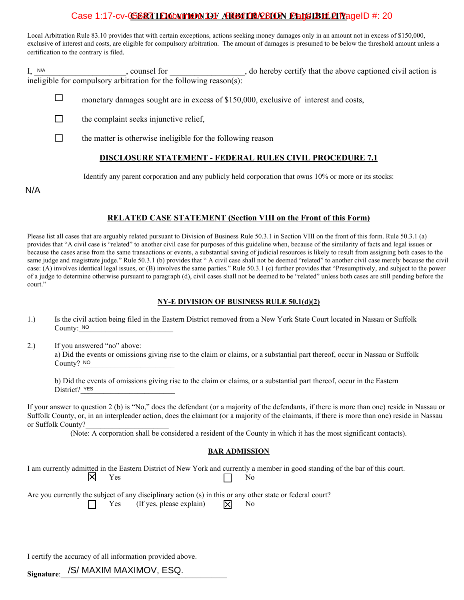#### Case 1:17-cv-056R7 I**EICATHON OF ARBITRAEION FELGIBHLEIT** ageID #: 20

Local Arbitration Rule 83.10 provides that with certain exceptions, actions seeking money damages only in an amount not in excess of \$150,000, exclusive of interest and costs, are eligible for compulsory arbitration. The amount of damages is presumed to be below the threshold amount unless a certification to the contrary is filed.

I, counsel for \_\_\_\_\_\_\_\_\_\_\_, do hereby certify that the above captioned civil action is ineligible for compulsory arbitration for the following reason(s):  $I, N/A$ 

□ monetary damages sought are in excess of \$150,000, exclusive of interest and costs,

 $\Box$ the complaint seeks injunctive relief,

 $\Box$ the matter is otherwise ineligible for the following reason

#### **DISCLOSURE STATEMENT - FEDERAL RULES CIVIL PROCEDURE 7.1**

Identify any parent corporation and any publicly held corporation that owns 10% or more or its stocks:

N/A

#### **RELATED CASE STATEMENT (Section VIII on the Front of this Form)**

Please list all cases that are arguably related pursuant to Division of Business Rule 50.3.1 in Section VIII on the front of this form. Rule 50.3.1 (a) provides that "A civil case is "related" to another civil case for purposes of this guideline when, because of the similarity of facts and legal issues or because the cases arise from the same transactions or events, a substantial saving of judicial resources is likely to result from assigning both cases to the same judge and magistrate judge." Rule 50.3.1 (b) provides that " A civil case shall not be deemed "related" to another civil case merely because the civil case: (A) involves identical legal issues, or (B) involves the same parties." Rule 50.3.1 (c) further provides that "Presumptively, and subject to the power of a judge to determine otherwise pursuant to paragraph (d), civil cases shall not be deemed to be "related" unless both cases are still pending before the court."

#### **NY-E DIVISION OF BUSINESS RULE 50.1(d)(2)**

1.) Is the civil action being filed in the Eastern District removed from a New York State Court located in Nassau or Suffolk County: NO

2.) If you answered "no" above: a) Did the events or omissions giving rise to the claim or claims, or a substantial part thereof, occur in Nassau or Suffolk County? NO NO<br>
ISW<br>
IC PO

b) Did the events of omissions giving rise to the claim or claims, or a substantial part thereof, occur in the Eastern District? YES

If your answer to question 2 (b) is "No," does the defendant (or a majority of the defendants, if there is more than one) reside in Nassau or Suffolk County, or, in an interpleader action, does the claimant (or a majority of the claimants, if there is more than one) reside in Nassau or Suffolk County?

(Note: A corporation shall be considered a resident of the County in which it has the most significant contacts).

#### **BAR ADMISSION**

I am currently admitted in the Eastern District of New York and currently a member in good standing of the bar of this court.<br>No Yes No

Are you currently the subject of any disciplinary action (s) in this or any other state or federal court?

Yes (If yes, please explain)  $\overrightarrow{X}$  No

I certify the accuracy of all information provided above.

Signature:\_\_/S/ MAXIM MAXIMOV, ESQ.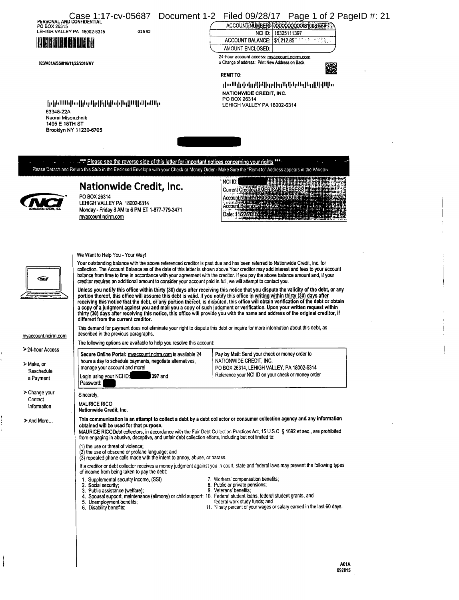| <b>PERSUNAL AND CONFIDENTIAL</b><br>PO BOX 26315<br>LEHIGH VALLEY PA 18002-6315<br><b>HRANDARHARA</b><br>023/A01A/SS/815/11/22/2016/NY<br>63348-22A<br>Naomi Misonzhnik<br>1495 E 18TH ST<br>Brooklyn NY 11230-6705 | 01582<br>իլինանիսվիրըկրկիլիլիլի ինքներական                                                                                                                                                                                                                                                                                                                                                                                                                                                                                                                                                                                                                                                                                                                                                                                                                                                                                                                                                                                                                                                                                                                                                                                                                                                                                                                                                                                                                                                                                                 | Case 1:17-cv-05687 Document 1-2 Filed 09/28/17 Page 1 of 2 PageID #: 21<br>ACCOUNT NUMBER XXXXXXXXXXX81008 177<br>NCI ID: 16325111397<br>ACCOUNT BALANCE:   \$1,212.85"<br>AMOUNT ENCLOSED:<br>24-hour account access: myaccount.ncim.com<br>o Change of address: Print New Address on Back<br><b>REMIT TO:</b><br>իաՍկինգիրինիցվիցնինցներիցիինին<br>NATIONWIDE CREDIT, INC.<br>PO BOX 26314<br>LEHIGH VALLEY PA 18002-6314 |
|---------------------------------------------------------------------------------------------------------------------------------------------------------------------------------------------------------------------|--------------------------------------------------------------------------------------------------------------------------------------------------------------------------------------------------------------------------------------------------------------------------------------------------------------------------------------------------------------------------------------------------------------------------------------------------------------------------------------------------------------------------------------------------------------------------------------------------------------------------------------------------------------------------------------------------------------------------------------------------------------------------------------------------------------------------------------------------------------------------------------------------------------------------------------------------------------------------------------------------------------------------------------------------------------------------------------------------------------------------------------------------------------------------------------------------------------------------------------------------------------------------------------------------------------------------------------------------------------------------------------------------------------------------------------------------------------------------------------------------------------------------------------------|-----------------------------------------------------------------------------------------------------------------------------------------------------------------------------------------------------------------------------------------------------------------------------------------------------------------------------------------------------------------------------------------------------------------------------|
|                                                                                                                                                                                                                     | .*** Please see the reverse side of this letter for important notices concerning your rights ***                                                                                                                                                                                                                                                                                                                                                                                                                                                                                                                                                                                                                                                                                                                                                                                                                                                                                                                                                                                                                                                                                                                                                                                                                                                                                                                                                                                                                                           |                                                                                                                                                                                                                                                                                                                                                                                                                             |
|                                                                                                                                                                                                                     | Please Detach and Return this Stub in the Enclosed Envelope with your Check or Money Order - Make Sure the "Remit to" Address appears in the Window<br>Nationwide Credit, Inc.<br>PO BOX 26314<br>LEHIGH VALLEY PA 18002-6314<br>Monday - Friday 8 AM to 6 PM ET 1-877-779-3471<br>myaccount.ncirm.com                                                                                                                                                                                                                                                                                                                                                                                                                                                                                                                                                                                                                                                                                                                                                                                                                                                                                                                                                                                                                                                                                                                                                                                                                                     | NCI ID:<br>Current Creditors AMERICAN EXPRESS<br>Account Number \$90000<br>Account Balance<br>Date: 11/22/20164                                                                                                                                                                                                                                                                                                             |
| ☎<br>myaccount.ncirm.com<br>> 24-hour Access                                                                                                                                                                        | We Want to Help You - Your Way!<br>Your outstanding balance with the above referenced creditor is past due and has been referred to Nationwide Credit, Inc. for<br>collection. The Account Balance as of the date of this letter is shown above. Your creditor may add interest and fees to your account<br>balance from time to time in accordance with your agreement with the creditor. If you pay the above balance amount and, if your<br>creditor requires an additional amount to consider your account paid in full, we will attempt to contact you.<br>Unless you notify this office within thirty (30) days after receiving this notice that you dispute the validity of the debt, or any<br>portion thereof, this office will assume this debt is valid. If you notify this office in writing within thirty (30) days after<br>receiving this notice that the debt, or any portion thereof, is disputed, this office will obtain verification of the debt or obtain<br>a copy of a judgment against you and mail you a copy of such judgment or verification. Upon your written request within<br>thirty (30) days after receiving this notice, this office will provide you with the name and address of the original creditor, if<br>different from the current creditor.<br>This demand for payment does not eliminate your right to dispute this debt or inquire for more information about this debt, as<br>described in the previous paragraphs.<br>The following options are available to help you resolve this account: |                                                                                                                                                                                                                                                                                                                                                                                                                             |
| > Make, or<br>Reschedule<br>a Payment                                                                                                                                                                               | Secure Online Portal: myaccount.ncirm.com is available 24<br>hours a day to schedule payments, negotiate alternatives,<br>manage your account and more!<br>397 and<br>Login using your NCI ID:<br>Password:                                                                                                                                                                                                                                                                                                                                                                                                                                                                                                                                                                                                                                                                                                                                                                                                                                                                                                                                                                                                                                                                                                                                                                                                                                                                                                                                | Pay by Mail: Send your check or money order to<br>NATIONWIDE CREDIT, INC.<br>PO BOX 26314, LEHIGH VALLEY, PA 18002-6314<br>Reference your NCI ID on your check or money order                                                                                                                                                                                                                                               |
| ≻ Change your<br>Contact<br>Information<br>> And More                                                                                                                                                               | Sincerely,<br><b>MAURICE RICO</b><br>Nationwide Credit, Inc.<br>This communication is an attempt to collect a debt by a debt collector or consumer collection agency and any information<br>obtained will be used for that purpose.<br>MAURICE RICODebt collectors, in accordance with the Fair Debt Collection Practices Act, 15 U.S.C. § 1692 et seq., are prohibited<br>from engaging in abusive, deceptive, and unfair debt collection efforts, including but not limited to:<br>(1) the use or threat of violence:<br>(2) the use of obscene or profane language; and<br>(3) repeated phone calls made with the intent to annoy, abuse, or harass.<br>If a creditor or debt collector receives a money judgment against you in court, state and federal laws may prevent the following types<br>of income from being taken to pay the debt:<br>1. Supplemental security income, (SSI)<br>2. Social security;<br>3. Public assistance (welfare);<br>4. Spousal support, maintenance (alimony) or child support; 10. Federal student loans, federal student grants, and<br>5. Unemployment benefits:<br>6. Disability benefits;                                                                                                                                                                                                                                                                                                                                                                                                         | 7. Workers' compensation benefits;<br>8. Public or private pensions;<br>9. Veterans' benefits;<br>federal work study funds; and<br>11. Ninety percent of your wages or salary earned in the last 60 days.<br>A01A<br>092815                                                                                                                                                                                                 |

ï

 $\frac{1}{2}$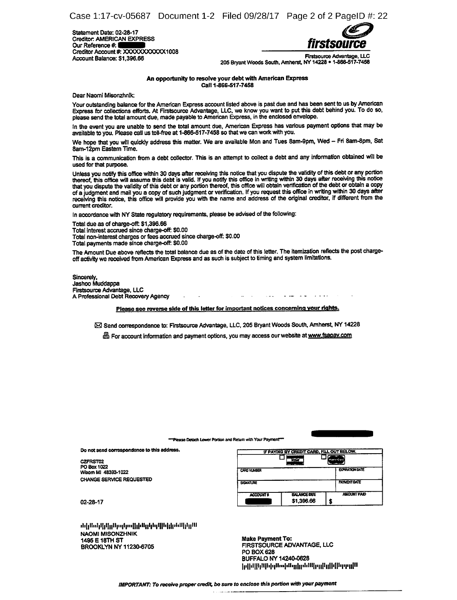Statement Date: 02-28-17 Creditor: AMERICAN EXPRESS<br>Our Reference #. Our Reference # **firstsource**<br>Our Reference # **firstsource** Creditor Account #: XXXXXXXXXX1008<br>Account Balance: \$1,396.66



Firstsource Advantage, LLC<br>205 Bryant Woods South, Amherst, NY 14228 • 1-866-517-7458<br>205 Bryant Woods South, Amherst, NY 14228 • 1-866-517-7458

An opportunity to resolve your debt with American Express Call 1-866-517-7458

Dear Naomi Misonzhnik:

Your outstanding balance for the American Express account listed above is past due and has been sent to us by American Express for collections efforts. At Firstsource Advantage, LLC, we know you want to put this debt behind you. To do so, please send the total amount due, made payable to American Express, in the enclosed envelope.

In the event you are unable to send the total amount due, American Express has various payment options that may be available to you. Please call us toll-free at 1-866-517-7458 so that we can work with you.

We hope that you will quickly address this matter. We are available Mon and Tues 8am-9pm, Wed - Fri 8am-8pm, Sat 8am-12pm Eastern Time.

This is a communication from a debt collector. This is an attempt to collect <sup>a</sup> debt and any information obtained will be used for that purpose.

Unless you notify this office within 30 days after receiving this notice that you dispute the validity of this debt or any portion<br>thereof, this office will assume this debt is valid. If you notify this office in writing w that you dispute the validity of this debt or any portion thereof, this office will obtain verification of the debt or obtain <sup>a</sup> copy of <sup>a</sup> judgment and mail you <sup>a</sup> copy of such judgment or verification. If you request this office in writing within <sup>30</sup> days after receiving this notice, this office will provide you with the name and address of the original creditor, if different from the current creditor.

In accordance with NY State regulatory requirements, please be advised of the following:

Total due as of charge-off: \$1,396.66

Total interest accrued since charge-off: \$0.00

Total non-interest charges or fees accrued since charge-oft \$0.00

Total payments made since charge-oft \$0.00

The Amount Due above reflects the total balance due as of the date of this letter. The itemization reflects the post chargeoff activity we received from American Express and as such is subject to timing and system limitations.

Sincerely, Jashoo Muddappa Firstsource Advantage, LLC A Professional Debt Recovery Agency

Please see reverse side of this letter for important notices concerning your rights.

23 Send correspondence to: Firstsource Advantage, LLC, 205 Bryant Woods South, Amherst, NY 14228

**es For account information and payment options, you may access our website at www.fsapay.com** 

#### <sup>---</sup>Please Detach Lower Portion and Return with Your Payment

Do not send correspondence to this address.

| Do not send correspondence to this address. | IF PAYING BY CREDIT CARD, FILL OUT BELOW. |                                                                  |                        |  |
|---------------------------------------------|-------------------------------------------|------------------------------------------------------------------|------------------------|--|
| <b>CZFRST02</b><br>PO Box 1022              |                                           | <b>YSK</b><br><b>MonterCond</b><br><b>Committee State Age of</b> |                        |  |
| Wixom MI 48393-1022                         | <b>CARD NUMBER</b>                        |                                                                  | <b>EXPIRATION DATE</b> |  |
| CHANGE SERVICE REQUESTED                    | <b>SIGNATURE</b>                          |                                                                  | <b>PAYMENT DATE</b>    |  |
| 02-28-17                                    | ACCOUNT #                                 | <b>BALANCE DUE</b><br>\$1,396.66                                 | <b>ALLCUNT PAID</b>    |  |

Սկլկիհմգիլիկոկրիներից կարերգներին ին են ե NAOMI MISONZHNIK BROOKLYN NY 11230-6705

Make Payment To:<br>FIRSTSOURCE ADVANTAGE, LLC PO BOX 628 BUFFALO NY 14240-0628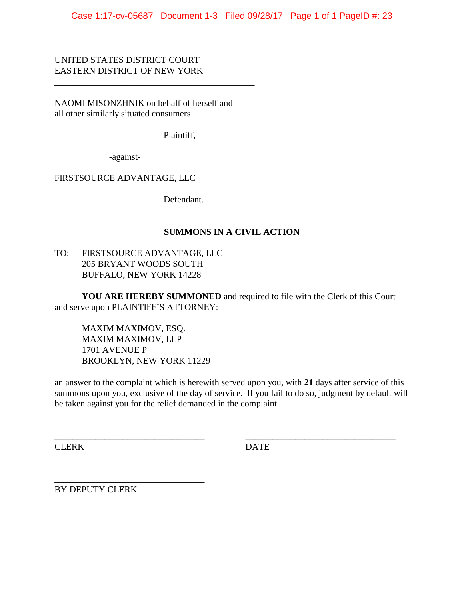Case 1:17-cv-05687 Document 1-3 Filed 09/28/17 Page 1 of 1 PageID #: 23

UNITED STATES DISTRICT COURT EASTERN DISTRICT OF NEW YORK

NAOMI MISONZHNIK on behalf of herself and all other similarly situated consumers

\_\_\_\_\_\_\_\_\_\_\_\_\_\_\_\_\_\_\_\_\_\_\_\_\_\_\_\_\_\_\_\_\_\_\_\_\_\_\_\_\_\_\_\_

Plaintiff,

-against-

FIRSTSOURCE ADVANTAGE, LLC

Defendant.

### **SUMMONS IN A CIVIL ACTION**

TO: FIRSTSOURCE ADVANTAGE, LLC 205 BRYANT WOODS SOUTH BUFFALO, NEW YORK 14228

\_\_\_\_\_\_\_\_\_\_\_\_\_\_\_\_\_\_\_\_\_\_\_\_\_\_\_\_\_\_\_\_\_\_\_\_\_\_\_\_\_\_\_\_

**YOU ARE HEREBY SUMMONED** and required to file with the Clerk of this Court and serve upon PLAINTIFF'S ATTORNEY:

MAXIM MAXIMOV, ESQ. MAXIM MAXIMOV, LLP 1701 AVENUE P BROOKLYN, NEW YORK 11229

an answer to the complaint which is herewith served upon you, with **21** days after service of this summons upon you, exclusive of the day of service. If you fail to do so, judgment by default will be taken against you for the relief demanded in the complaint.

\_\_\_\_\_\_\_\_\_\_\_\_\_\_\_\_\_\_\_\_\_\_\_\_\_\_\_\_\_\_\_\_\_ \_\_\_\_\_\_\_\_\_\_\_\_\_\_\_\_\_\_\_\_\_\_\_\_\_\_\_\_\_\_\_\_\_

CLERK DATE

BY DEPUTY CLERK

\_\_\_\_\_\_\_\_\_\_\_\_\_\_\_\_\_\_\_\_\_\_\_\_\_\_\_\_\_\_\_\_\_